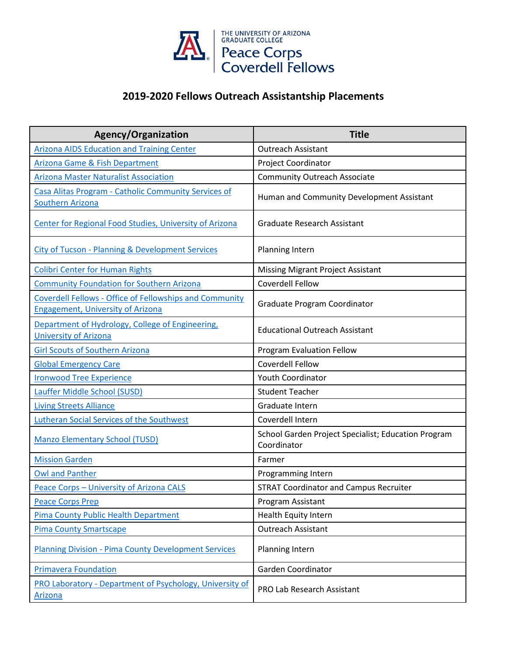

## **2019-2020 Fellows Outreach Assistantship Placements**

| <b>Agency/Organization</b>                                                                                 | <b>Title</b>                                                       |
|------------------------------------------------------------------------------------------------------------|--------------------------------------------------------------------|
| <b>Arizona AIDS Education and Training Center</b>                                                          | <b>Outreach Assistant</b>                                          |
| Arizona Game & Fish Department                                                                             | Project Coordinator                                                |
| <b>Arizona Master Naturalist Association</b>                                                               | <b>Community Outreach Associate</b>                                |
| Casa Alitas Program - Catholic Community Services of<br><b>Southern Arizona</b>                            | Human and Community Development Assistant                          |
| Center for Regional Food Studies, University of Arizona                                                    | <b>Graduate Research Assistant</b>                                 |
| <b>City of Tucson - Planning &amp; Development Services</b>                                                | Planning Intern                                                    |
| <b>Colibri Center for Human Rights</b>                                                                     | <b>Missing Migrant Project Assistant</b>                           |
| <b>Community Foundation for Southern Arizona</b>                                                           | Coverdell Fellow                                                   |
| <b>Coverdell Fellows - Office of Fellowships and Community</b><br><b>Engagement, University of Arizona</b> | Graduate Program Coordinator                                       |
| Department of Hydrology, College of Engineering,<br><b>University of Arizona</b>                           | <b>Educational Outreach Assistant</b>                              |
| <b>Girl Scouts of Southern Arizona</b>                                                                     | Program Evaluation Fellow                                          |
| <b>Global Emergency Care</b>                                                                               | Coverdell Fellow                                                   |
| <b>Ironwood Tree Experience</b>                                                                            | <b>Youth Coordinator</b>                                           |
| Lauffer Middle School (SUSD)                                                                               | <b>Student Teacher</b>                                             |
| <b>Living Streets Alliance</b>                                                                             | Graduate Intern                                                    |
| <b>Lutheran Social Services of the Southwest</b>                                                           | Coverdell Intern                                                   |
| <b>Manzo Elementary School (TUSD)</b>                                                                      | School Garden Project Specialist; Education Program<br>Coordinator |
| <b>Mission Garden</b>                                                                                      | Farmer                                                             |
| <b>Owl and Panther</b>                                                                                     | Programming Intern                                                 |
| Peace Corps - University of Arizona CALS                                                                   | <b>STRAT Coordinator and Campus Recruiter</b>                      |
| <b>Peace Corps Prep</b>                                                                                    | Program Assistant                                                  |
| Pima County Public Health Department                                                                       | Health Equity Intern                                               |
| <b>Pima County Smartscape</b>                                                                              | <b>Outreach Assistant</b>                                          |
| <b>Planning Division - Pima County Development Services</b>                                                | Planning Intern                                                    |
| <b>Primavera Foundation</b>                                                                                | Garden Coordinator                                                 |
| PRO Laboratory - Department of Psychology, University of<br><b>Arizona</b>                                 | PRO Lab Research Assistant                                         |